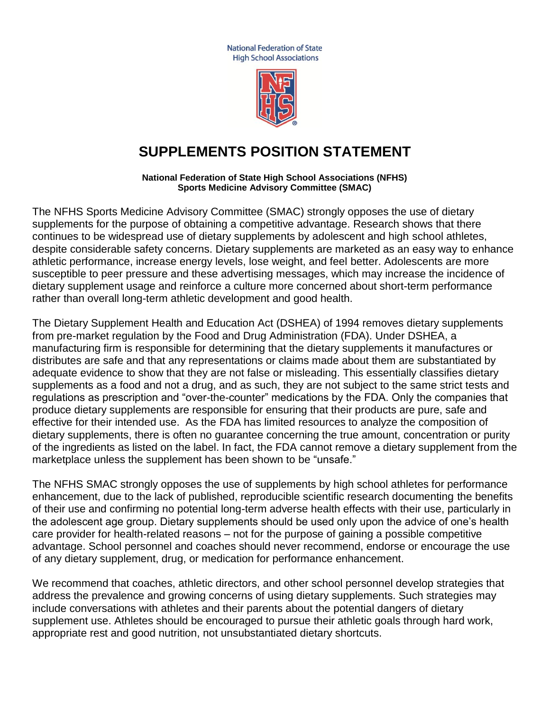**National Federation of State High School Associations** 



## **SUPPLEMENTS POSITION STATEMENT**

**National Federation of State High School Associations (NFHS) Sports Medicine Advisory Committee (SMAC)**

The NFHS Sports Medicine Advisory Committee (SMAC) strongly opposes the use of dietary supplements for the purpose of obtaining a competitive advantage. Research shows that there continues to be widespread use of dietary supplements by adolescent and high school athletes, despite considerable safety concerns. Dietary supplements are marketed as an easy way to enhance athletic performance, increase energy levels, lose weight, and feel better. Adolescents are more susceptible to peer pressure and these advertising messages, which may increase the incidence of dietary supplement usage and reinforce a culture more concerned about short-term performance rather than overall long-term athletic development and good health.

The Dietary Supplement Health and Education Act (DSHEA) of 1994 removes dietary supplements from pre-market regulation by the Food and Drug Administration (FDA). Under DSHEA, a manufacturing firm is responsible for determining that the dietary supplements it manufactures or distributes are safe and that any representations or claims made about them are substantiated by adequate evidence to show that they are not false or misleading. This essentially classifies dietary supplements as a food and not a drug, and as such, they are not subject to the same strict tests and regulations as prescription and "over-the-counter" medications by the FDA. Only the companies that produce dietary supplements are responsible for ensuring that their products are pure, safe and effective for their intended use. As the FDA has limited resources to analyze the composition of dietary supplements, there is often no guarantee concerning the true amount, concentration or purity of the ingredients as listed on the label. In fact, the FDA cannot remove a dietary supplement from the marketplace unless the supplement has been shown to be "unsafe."

The NFHS SMAC strongly opposes the use of supplements by high school athletes for performance enhancement, due to the lack of published, reproducible scientific research documenting the benefits of their use and confirming no potential long-term adverse health effects with their use, particularly in the adolescent age group. Dietary supplements should be used only upon the advice of one's health care provider for health-related reasons – not for the purpose of gaining a possible competitive advantage. School personnel and coaches should never recommend, endorse or encourage the use of any dietary supplement, drug, or medication for performance enhancement.

We recommend that coaches, athletic directors, and other school personnel develop strategies that address the prevalence and growing concerns of using dietary supplements. Such strategies may include conversations with athletes and their parents about the potential dangers of dietary supplement use. Athletes should be encouraged to pursue their athletic goals through hard work, appropriate rest and good nutrition, not unsubstantiated dietary shortcuts.